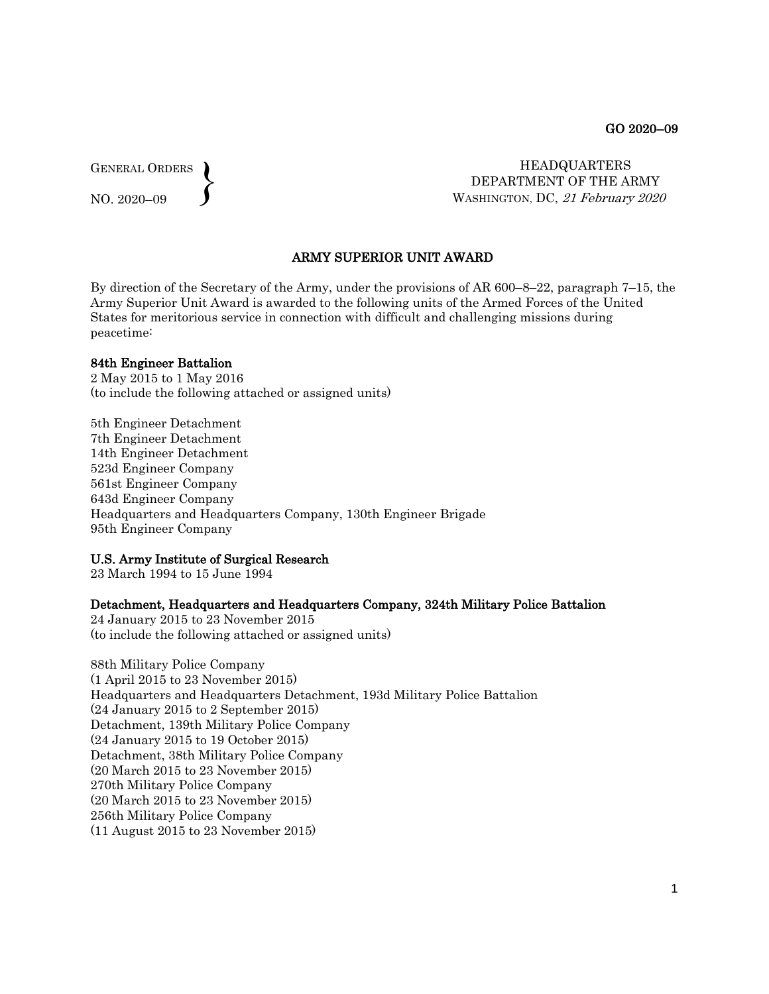GENERAL ORDERS  $\left\{ \right\}$ 

NO. 2020–09

 HEADQUARTERS DEPARTMENT OF THE ARMY WASHINGTON, DC, 21 February 2020

# ARMY SUPERIOR UNIT AWARD

By direction of the Secretary of the Army, under the provisions of AR 600–8–22, paragraph 7–15, the Army Superior Unit Award is awarded to the following units of the Armed Forces of the United States for meritorious service in connection with difficult and challenging missions during peacetime:

#### 84th Engineer Battalion

2 May 2015 to 1 May 2016 (to include the following attached or assigned units)

5th Engineer Detachment 7th Engineer Detachment 14th Engineer Detachment 523d Engineer Company 561st Engineer Company 643d Engineer Company Headquarters and Headquarters Company, 130th Engineer Brigade 95th Engineer Company

#### U.S. Army Institute of Surgical Research

23 March 1994 to 15 June 1994

#### Detachment, Headquarters and Headquarters Company, 324th Military Police Battalion

24 January 2015 to 23 November 2015 (to include the following attached or assigned units)

88th Military Police Company (1 April 2015 to 23 November 2015) Headquarters and Headquarters Detachment, 193d Military Police Battalion (24 January 2015 to 2 September 2015) Detachment, 139th Military Police Company (24 January 2015 to 19 October 2015) Detachment, 38th Military Police Company (20 March 2015 to 23 November 2015) 270th Military Police Company (20 March 2015 to 23 November 2015) 256th Military Police Company (11 August 2015 to 23 November 2015)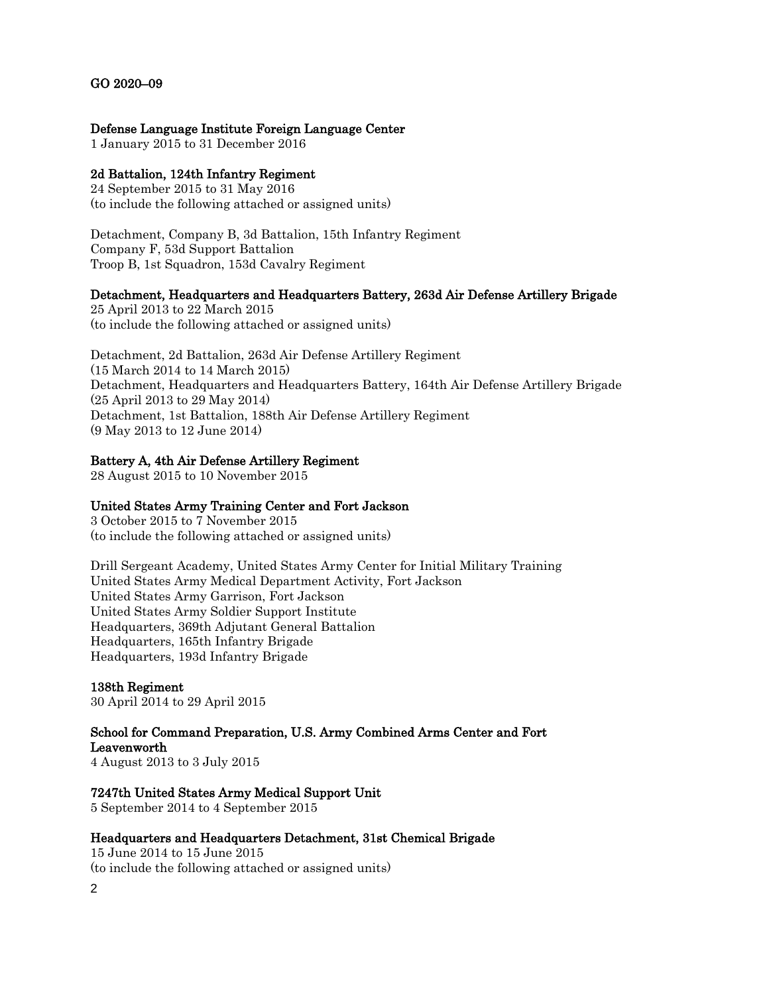# GO 2020–09

# Defense Language Institute Foreign Language Center

1 January 2015 to 31 December 2016

# 2d Battalion, 124th Infantry Regiment

24 September 2015 to 31 May 2016 (to include the following attached or assigned units)

Detachment, Company B, 3d Battalion, 15th Infantry Regiment Company F, 53d Support Battalion Troop B, 1st Squadron, 153d Cavalry Regiment

# Detachment, Headquarters and Headquarters Battery, 263d Air Defense Artillery Brigade

25 April 2013 to 22 March 2015 (to include the following attached or assigned units)

Detachment, 2d Battalion, 263d Air Defense Artillery Regiment (15 March 2014 to 14 March 2015) Detachment, Headquarters and Headquarters Battery, 164th Air Defense Artillery Brigade (25 April 2013 to 29 May 2014) Detachment, 1st Battalion, 188th Air Defense Artillery Regiment (9 May 2013 to 12 June 2014)

# Battery A, 4th Air Defense Artillery Regiment

28 August 2015 to 10 November 2015

# United States Army Training Center and Fort Jackson

3 October 2015 to 7 November 2015 (to include the following attached or assigned units)

Drill Sergeant Academy, United States Army Center for Initial Military Training United States Army Medical Department Activity, Fort Jackson United States Army Garrison, Fort Jackson United States Army Soldier Support Institute Headquarters, 369th Adjutant General Battalion Headquarters, 165th Infantry Brigade Headquarters, 193d Infantry Brigade

# 138th Regiment

30 April 2014 to 29 April 2015

# School for Command Preparation, U.S. Army Combined Arms Center and Fort Leavenworth

4 August 2013 to 3 July 2015

# 7247th United States Army Medical Support Unit

5 September 2014 to 4 September 2015

# Headquarters and Headquarters Detachment, 31st Chemical Brigade

2 15 June 2014 to 15 June 2015 (to include the following attached or assigned units)